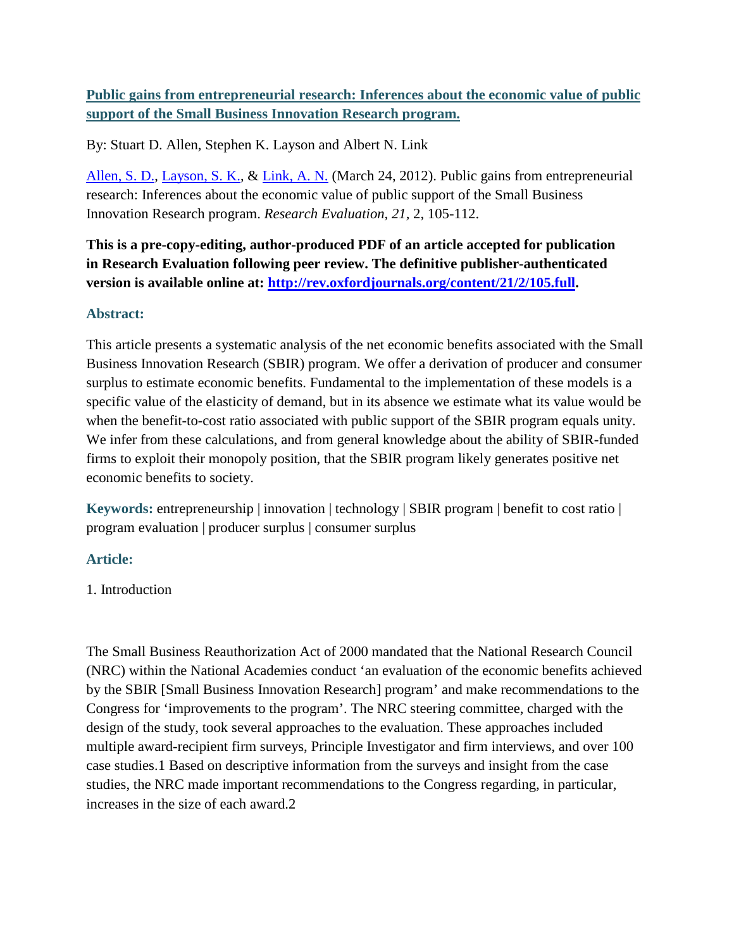# **Public gains from entrepreneurial research: Inferences about the economic value of public support of the Small Business Innovation Research program.**

By: Stuart D. Allen, Stephen K. Layson and Albert N. Link

[Allen, S. D.,](http://libres.uncg.edu/ir/uncg/clist.aspx?id=880) [Layson, S. K.,](http://libres.uncg.edu/ir/uncg/clist.aspx?id=783) & [Link, A. N.](http://libres.uncg.edu/ir/uncg/clist.aspx?id=815) (March 24, 2012). Public gains from entrepreneurial research: Inferences about the economic value of public support of the Small Business Innovation Research program. *Research Evaluation, 21,* 2, 105-112.

**This is a pre-copy-editing, author-produced PDF of an article accepted for publication in Research Evaluation following peer review. The definitive publisher-authenticated version is available online at: [http://rev.oxfordjournals.org/content/21/2/105.full.](http://rev.oxfordjournals.org/content/21/2/105.full)**

## **Abstract:**

This article presents a systematic analysis of the net economic benefits associated with the Small Business Innovation Research (SBIR) program. We offer a derivation of producer and consumer surplus to estimate economic benefits. Fundamental to the implementation of these models is a specific value of the elasticity of demand, but in its absence we estimate what its value would be when the benefit-to-cost ratio associated with public support of the SBIR program equals unity. We infer from these calculations, and from general knowledge about the ability of SBIR-funded firms to exploit their monopoly position, that the SBIR program likely generates positive net economic benefits to society.

**Keywords:** entrepreneurship | innovation | technology | SBIR program | benefit to cost ratio | program evaluation | producer surplus | consumer surplus

# **Article:**

# 1. Introduction

The Small Business Reauthorization Act of 2000 mandated that the National Research Council (NRC) within the National Academies conduct 'an evaluation of the economic benefits achieved by the SBIR [Small Business Innovation Research] program' and make recommendations to the Congress for 'improvements to the program'. The NRC steering committee, charged with the design of the study, took several approaches to the evaluation. These approaches included multiple award-recipient firm surveys, Principle Investigator and firm interviews, and over 100 case studies.1 Based on descriptive information from the surveys and insight from the case studies, the NRC made important recommendations to the Congress regarding, in particular, increases in the size of each award.2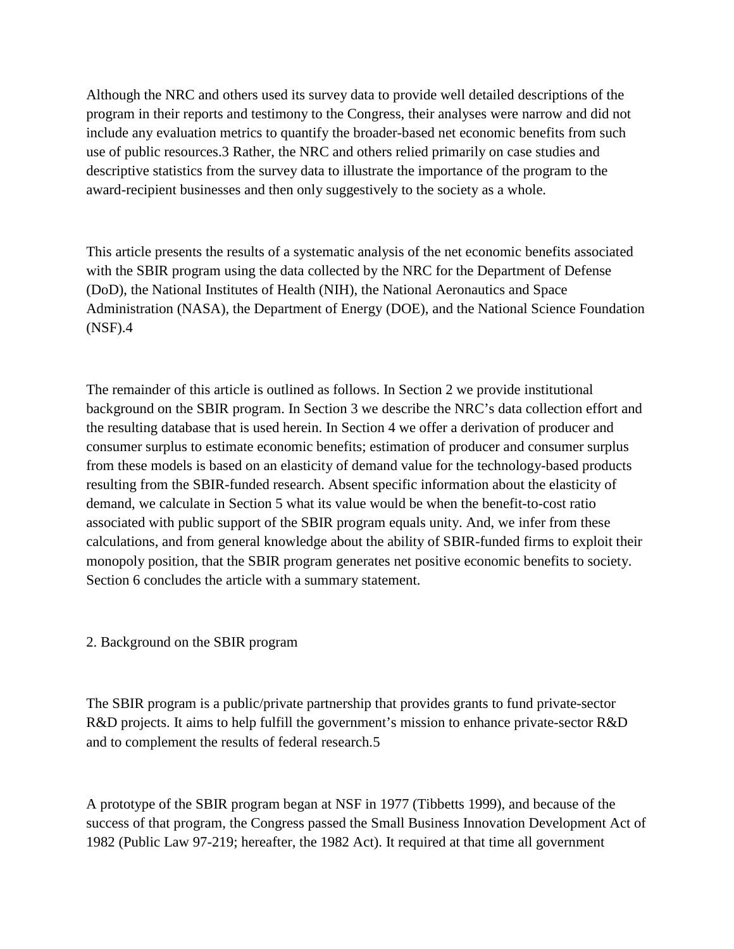Although the NRC and others used its survey data to provide well detailed descriptions of the program in their reports and testimony to the Congress, their analyses were narrow and did not include any evaluation metrics to quantify the broader-based net economic benefits from such use of public resources.3 Rather, the NRC and others relied primarily on case studies and descriptive statistics from the survey data to illustrate the importance of the program to the award-recipient businesses and then only suggestively to the society as a whole.

This article presents the results of a systematic analysis of the net economic benefits associated with the SBIR program using the data collected by the NRC for the Department of Defense (DoD), the National Institutes of Health (NIH), the National Aeronautics and Space Administration (NASA), the Department of Energy (DOE), and the National Science Foundation (NSF).4

The remainder of this article is outlined as follows. In Section 2 we provide institutional background on the SBIR program. In Section 3 we describe the NRC's data collection effort and the resulting database that is used herein. In Section 4 we offer a derivation of producer and consumer surplus to estimate economic benefits; estimation of producer and consumer surplus from these models is based on an elasticity of demand value for the technology-based products resulting from the SBIR-funded research. Absent specific information about the elasticity of demand, we calculate in Section 5 what its value would be when the benefit-to-cost ratio associated with public support of the SBIR program equals unity. And, we infer from these calculations, and from general knowledge about the ability of SBIR-funded firms to exploit their monopoly position, that the SBIR program generates net positive economic benefits to society. Section 6 concludes the article with a summary statement.

2. Background on the SBIR program

The SBIR program is a public/private partnership that provides grants to fund private-sector R&D projects. It aims to help fulfill the government's mission to enhance private-sector R&D and to complement the results of federal research.5

A prototype of the SBIR program began at NSF in 1977 (Tibbetts 1999), and because of the success of that program, the Congress passed the Small Business Innovation Development Act of 1982 (Public Law 97-219; hereafter, the 1982 Act). It required at that time all government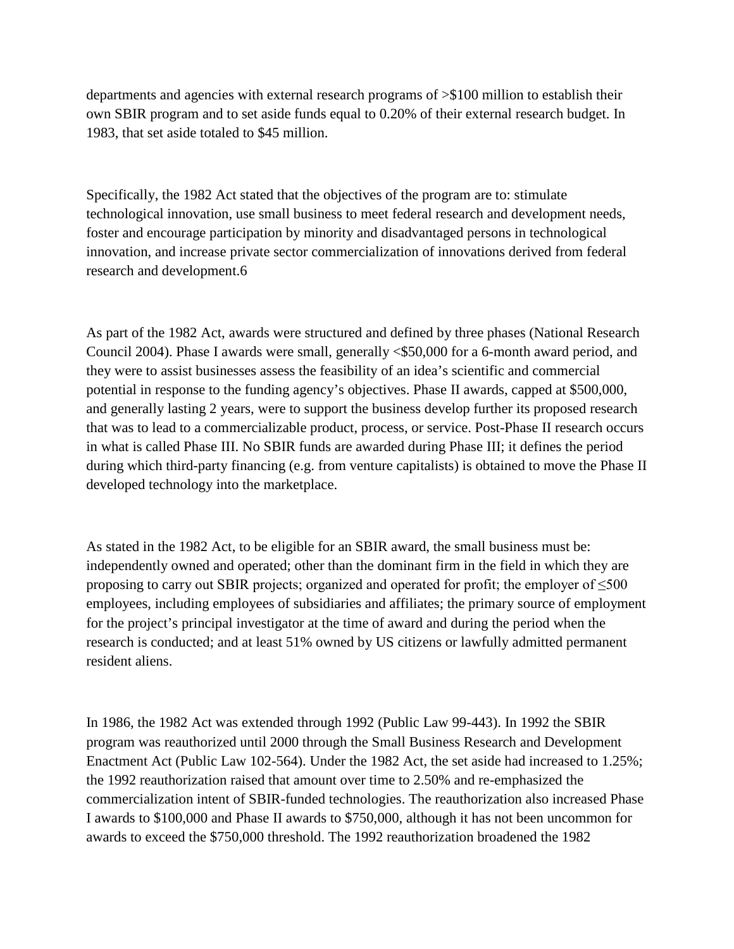departments and agencies with external research programs of >\$100 million to establish their own SBIR program and to set aside funds equal to 0.20% of their external research budget. In 1983, that set aside totaled to \$45 million.

Specifically, the 1982 Act stated that the objectives of the program are to: stimulate technological innovation, use small business to meet federal research and development needs, foster and encourage participation by minority and disadvantaged persons in technological innovation, and increase private sector commercialization of innovations derived from federal research and development.6

As part of the 1982 Act, awards were structured and defined by three phases (National Research Council 2004). Phase I awards were small, generally <\$50,000 for a 6-month award period, and they were to assist businesses assess the feasibility of an idea's scientific and commercial potential in response to the funding agency's objectives. Phase II awards, capped at \$500,000, and generally lasting 2 years, were to support the business develop further its proposed research that was to lead to a commercializable product, process, or service. Post-Phase II research occurs in what is called Phase III. No SBIR funds are awarded during Phase III; it defines the period during which third-party financing (e.g. from venture capitalists) is obtained to move the Phase II developed technology into the marketplace.

As stated in the 1982 Act, to be eligible for an SBIR award, the small business must be: independently owned and operated; other than the dominant firm in the field in which they are proposing to carry out SBIR projects; organized and operated for profit; the employer of  $\leq 500$ employees, including employees of subsidiaries and affiliates; the primary source of employment for the project's principal investigator at the time of award and during the period when the research is conducted; and at least 51% owned by US citizens or lawfully admitted permanent resident aliens.

In 1986, the 1982 Act was extended through 1992 (Public Law 99-443). In 1992 the SBIR program was reauthorized until 2000 through the Small Business Research and Development Enactment Act (Public Law 102-564). Under the 1982 Act, the set aside had increased to 1.25%; the 1992 reauthorization raised that amount over time to 2.50% and re-emphasized the commercialization intent of SBIR-funded technologies. The reauthorization also increased Phase I awards to \$100,000 and Phase II awards to \$750,000, although it has not been uncommon for awards to exceed the \$750,000 threshold. The 1992 reauthorization broadened the 1982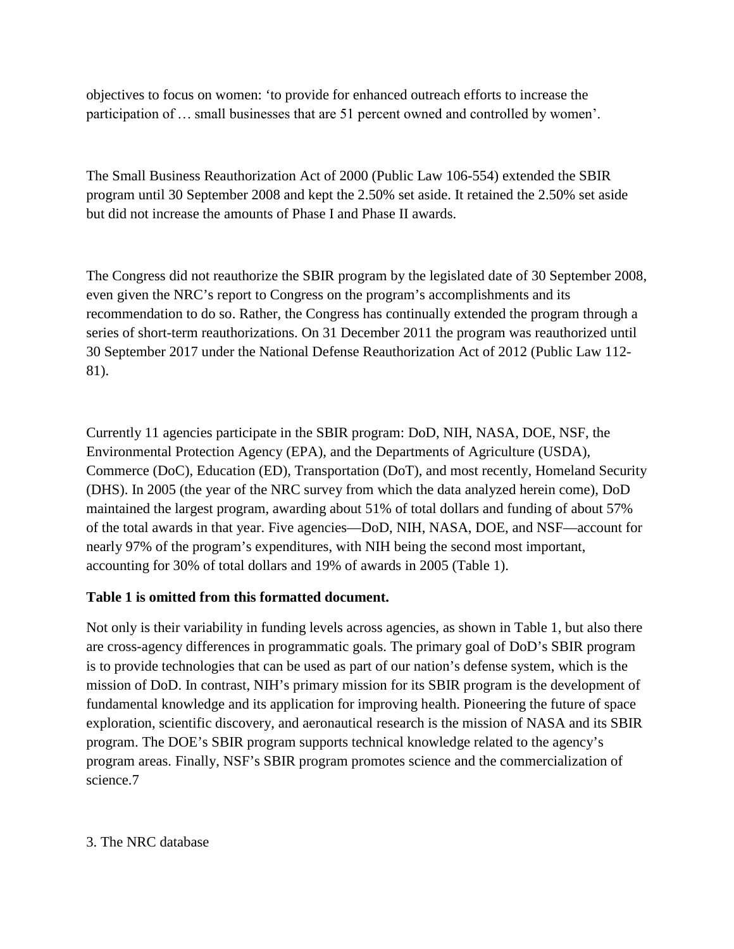objectives to focus on women: 'to provide for enhanced outreach efforts to increase the participation of … small businesses that are 51 percent owned and controlled by women'.

The Small Business Reauthorization Act of 2000 (Public Law 106-554) extended the SBIR program until 30 September 2008 and kept the 2.50% set aside. It retained the 2.50% set aside but did not increase the amounts of Phase I and Phase II awards.

The Congress did not reauthorize the SBIR program by the legislated date of 30 September 2008, even given the NRC's report to Congress on the program's accomplishments and its recommendation to do so. Rather, the Congress has continually extended the program through a series of short-term reauthorizations. On 31 December 2011 the program was reauthorized until 30 September 2017 under the National Defense Reauthorization Act of 2012 (Public Law 112- 81).

Currently 11 agencies participate in the SBIR program: DoD, NIH, NASA, DOE, NSF, the Environmental Protection Agency (EPA), and the Departments of Agriculture (USDA), Commerce (DoC), Education (ED), Transportation (DoT), and most recently, Homeland Security (DHS). In 2005 (the year of the NRC survey from which the data analyzed herein come), DoD maintained the largest program, awarding about 51% of total dollars and funding of about 57% of the total awards in that year. Five agencies—DoD, NIH, NASA, DOE, and NSF—account for nearly 97% of the program's expenditures, with NIH being the second most important, accounting for 30% of total dollars and 19% of awards in 2005 (Table 1).

### **Table 1 is omitted from this formatted document.**

Not only is their variability in funding levels across agencies, as shown in Table 1, but also there are cross-agency differences in programmatic goals. The primary goal of DoD's SBIR program is to provide technologies that can be used as part of our nation's defense system, which is the mission of DoD. In contrast, NIH's primary mission for its SBIR program is the development of fundamental knowledge and its application for improving health. Pioneering the future of space exploration, scientific discovery, and aeronautical research is the mission of NASA and its SBIR program. The DOE's SBIR program supports technical knowledge related to the agency's program areas. Finally, NSF's SBIR program promotes science and the commercialization of science.7

#### 3. The NRC database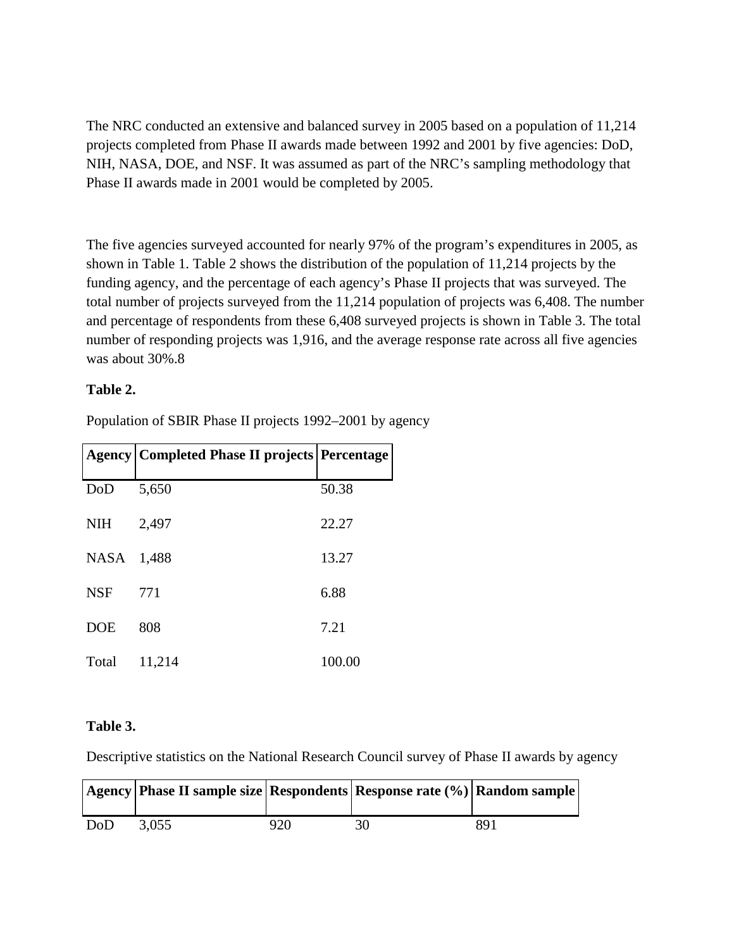The NRC conducted an extensive and balanced survey in 2005 based on a population of 11,214 projects completed from Phase II awards made between 1992 and 2001 by five agencies: DoD, NIH, NASA, DOE, and NSF. It was assumed as part of the NRC's sampling methodology that Phase II awards made in 2001 would be completed by 2005.

The five agencies surveyed accounted for nearly 97% of the program's expenditures in 2005, as shown in Table 1. Table 2 shows the distribution of the population of 11,214 projects by the funding agency, and the percentage of each agency's Phase II projects that was surveyed. The total number of projects surveyed from the 11,214 population of projects was 6,408. The number and percentage of respondents from these 6,408 surveyed projects is shown in Table 3. The total number of responding projects was 1,916, and the average response rate across all five agencies was about 30%.8

#### **Table 2.**

|             | <b>Agency   Completed Phase II projects   Percentage</b> |        |
|-------------|----------------------------------------------------------|--------|
| DoD         | 5,650                                                    | 50.38  |
| <b>NIH</b>  | 2,497                                                    | 22.27  |
| <b>NASA</b> | 1,488                                                    | 13.27  |
| <b>NSF</b>  | 771                                                      | 6.88   |
| <b>DOE</b>  | 808                                                      | 7.21   |
| Total       | 11,214                                                   | 100.00 |

Population of SBIR Phase II projects 1992–2001 by agency

### **Table 3.**

Descriptive statistics on the National Research Council survey of Phase II awards by agency

|     | Agency   Phase II sample size   Respondents   Response rate (%)   Random sample |     |     |
|-----|---------------------------------------------------------------------------------|-----|-----|
| DoD | 3.055                                                                           | 920 | 891 |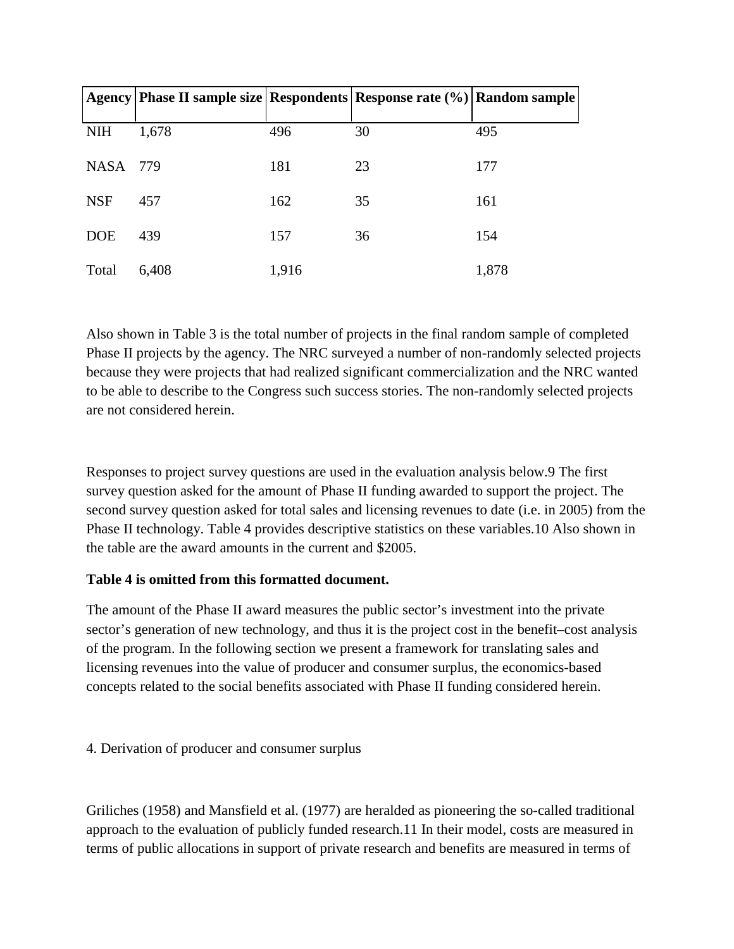|            | Agency Phase II sample size Respondents Response rate (%) Random sample |       |    |       |
|------------|-------------------------------------------------------------------------|-------|----|-------|
| <b>NIH</b> | 1,678                                                                   | 496   | 30 | 495   |
| NASA 779   |                                                                         | 181   | 23 | 177   |
| <b>NSF</b> | 457                                                                     | 162   | 35 | 161   |
| <b>DOE</b> | 439                                                                     | 157   | 36 | 154   |
| Total      | 6,408                                                                   | 1,916 |    | 1,878 |

Also shown in Table 3 is the total number of projects in the final random sample of completed Phase II projects by the agency. The NRC surveyed a number of non-randomly selected projects because they were projects that had realized significant commercialization and the NRC wanted to be able to describe to the Congress such success stories. The non-randomly selected projects are not considered herein.

Responses to project survey questions are used in the evaluation analysis below.9 The first survey question asked for the amount of Phase II funding awarded to support the project. The second survey question asked for total sales and licensing revenues to date (i.e. in 2005) from the Phase II technology. Table 4 provides descriptive statistics on these variables.10 Also shown in the table are the award amounts in the current and \$2005.

### **Table 4 is omitted from this formatted document.**

The amount of the Phase II award measures the public sector's investment into the private sector's generation of new technology, and thus it is the project cost in the benefit–cost analysis of the program. In the following section we present a framework for translating sales and licensing revenues into the value of producer and consumer surplus, the economics-based concepts related to the social benefits associated with Phase II funding considered herein.

# 4. Derivation of producer and consumer surplus

Griliches (1958) and Mansfield et al. (1977) are heralded as pioneering the so-called traditional approach to the evaluation of publicly funded research.11 In their model, costs are measured in terms of public allocations in support of private research and benefits are measured in terms of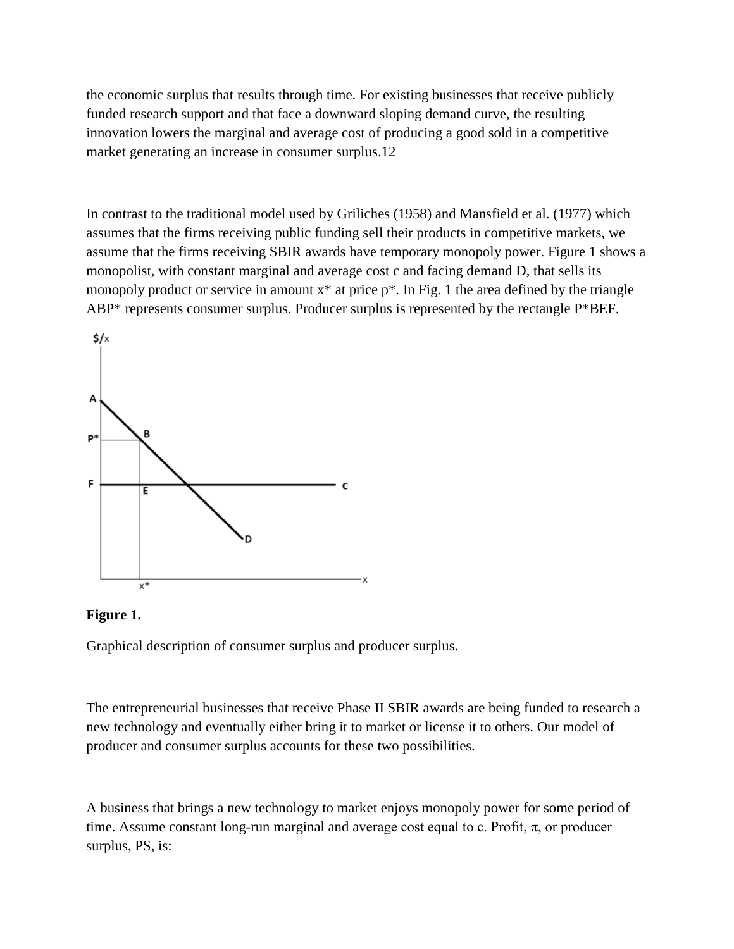the economic surplus that results through time. For existing businesses that receive publicly funded research support and that face a downward sloping demand curve, the resulting innovation lowers the marginal and average cost of producing a good sold in a competitive market generating an increase in consumer surplus.12

In contrast to the traditional model used by Griliches (1958) and Mansfield et al. (1977) which assumes that the firms receiving public funding sell their products in competitive markets, we assume that the firms receiving SBIR awards have temporary monopoly power. Figure 1 shows a monopolist, with constant marginal and average cost c and facing demand D, that sells its monopoly product or service in amount  $x^*$  at price  $p^*$ . In Fig. 1 the area defined by the triangle ABP\* represents consumer surplus. Producer surplus is represented by the rectangle P\*BEF.





Graphical description of consumer surplus and producer surplus.

The entrepreneurial businesses that receive Phase II SBIR awards are being funded to research a new technology and eventually either bring it to market or license it to others. Our model of producer and consumer surplus accounts for these two possibilities.

A business that brings a new technology to market enjoys monopoly power for some period of time. Assume constant long-run marginal and average cost equal to c. Profit,  $\pi$ , or producer surplus, PS, is: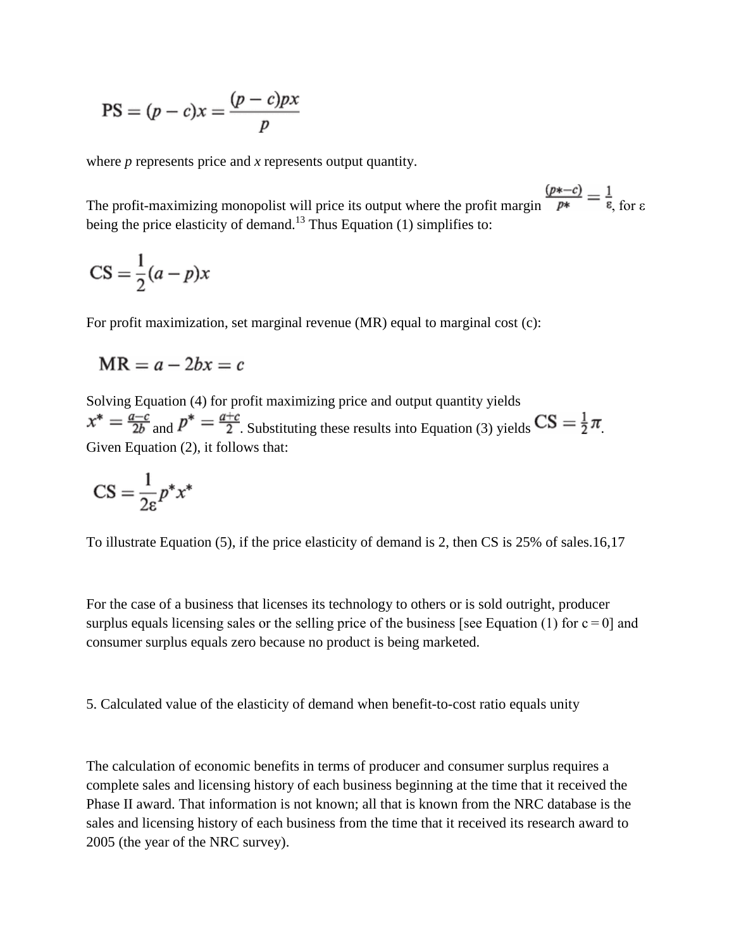$$
PS = (p - c)x = \frac{(p - c)px}{p}
$$

where *p* represents price and *x* represents output quantity.

The profit-maximizing monopolist will price its output where the profit margin  $\frac{(p*-c)}{p*} = \frac{1}{\epsilon}$  for  $\epsilon$ being the price elasticity of demand.<sup>13</sup> Thus Equation (1) simplifies to:

$$
CS = \frac{1}{2}(a - p)x
$$

For profit maximization, set marginal revenue (MR) equal to marginal cost (c):

$$
MR = a - 2bx = c
$$

Solving Equation (4) for profit maximizing price and output quantity yields  $x^* = \frac{a-c}{2b}$  and  $p^* = \frac{a+c}{2}$ . Substituting these results into Equation (3) yields  $CS = \frac{1}{2}\pi$ Given Equation (2), it follows that:

$$
CS = \frac{1}{2\varepsilon} p^* x^*
$$

To illustrate Equation (5), if the price elasticity of demand is 2, then CS is 25% of sales.16,17

For the case of a business that licenses its technology to others or is sold outright, producer surplus equals licensing sales or the selling price of the business [see Equation (1) for  $c = 0$ ] and consumer surplus equals zero because no product is being marketed.

5. Calculated value of the elasticity of demand when benefit-to-cost ratio equals unity

The calculation of economic benefits in terms of producer and consumer surplus requires a complete sales and licensing history of each business beginning at the time that it received the Phase II award. That information is not known; all that is known from the NRC database is the sales and licensing history of each business from the time that it received its research award to 2005 (the year of the NRC survey).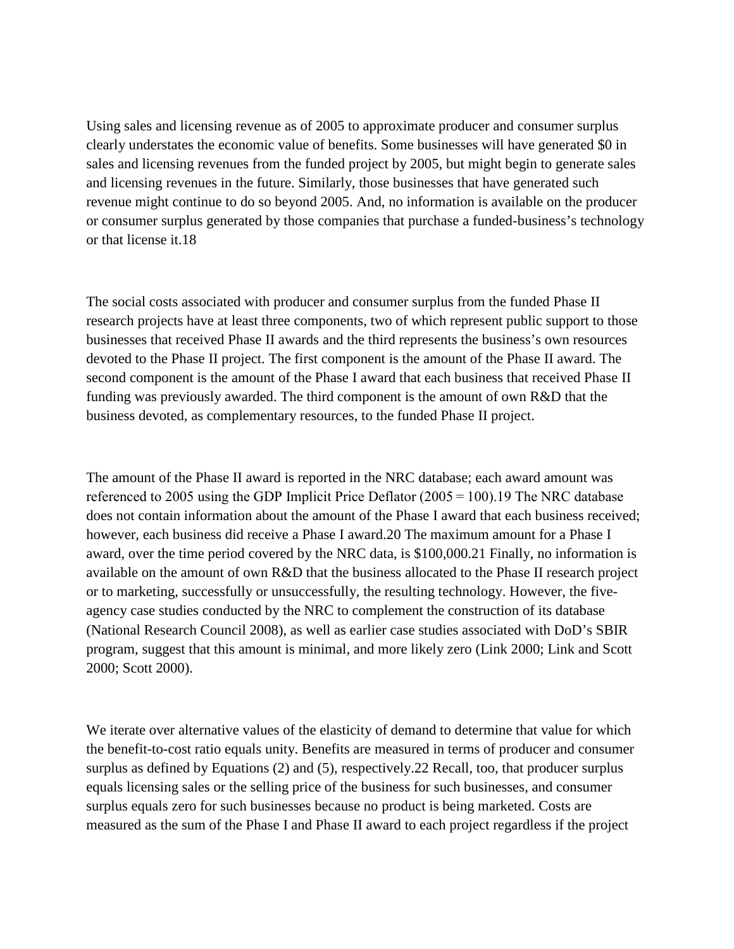Using sales and licensing revenue as of 2005 to approximate producer and consumer surplus clearly understates the economic value of benefits. Some businesses will have generated \$0 in sales and licensing revenues from the funded project by 2005, but might begin to generate sales and licensing revenues in the future. Similarly, those businesses that have generated such revenue might continue to do so beyond 2005. And, no information is available on the producer or consumer surplus generated by those companies that purchase a funded-business's technology or that license it.18

The social costs associated with producer and consumer surplus from the funded Phase II research projects have at least three components, two of which represent public support to those businesses that received Phase II awards and the third represents the business's own resources devoted to the Phase II project. The first component is the amount of the Phase II award. The second component is the amount of the Phase I award that each business that received Phase II funding was previously awarded. The third component is the amount of own R&D that the business devoted, as complementary resources, to the funded Phase II project.

The amount of the Phase II award is reported in the NRC database; each award amount was referenced to 2005 using the GDP Implicit Price Deflator (2005 = 100).19 The NRC database does not contain information about the amount of the Phase I award that each business received; however, each business did receive a Phase I award.20 The maximum amount for a Phase I award, over the time period covered by the NRC data, is \$100,000.21 Finally, no information is available on the amount of own R&D that the business allocated to the Phase II research project or to marketing, successfully or unsuccessfully, the resulting technology. However, the fiveagency case studies conducted by the NRC to complement the construction of its database (National Research Council 2008), as well as earlier case studies associated with DoD's SBIR program, suggest that this amount is minimal, and more likely zero (Link 2000; Link and Scott 2000; Scott 2000).

We iterate over alternative values of the elasticity of demand to determine that value for which the benefit-to-cost ratio equals unity. Benefits are measured in terms of producer and consumer surplus as defined by Equations (2) and (5), respectively. 22 Recall, too, that producer surplus equals licensing sales or the selling price of the business for such businesses, and consumer surplus equals zero for such businesses because no product is being marketed. Costs are measured as the sum of the Phase I and Phase II award to each project regardless if the project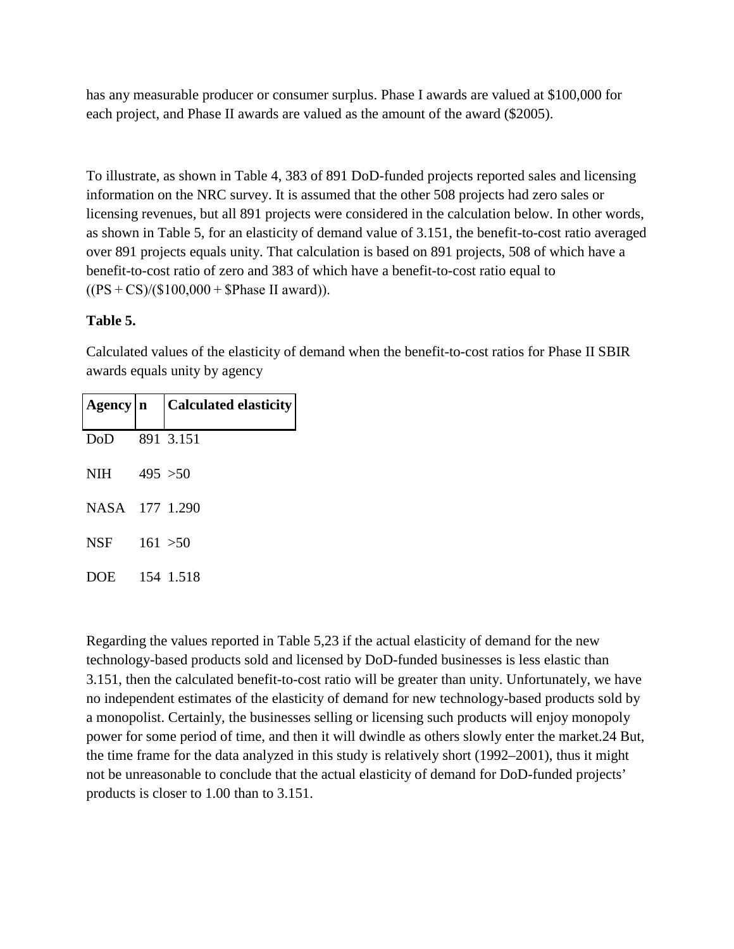has any measurable producer or consumer surplus. Phase I awards are valued at \$100,000 for each project, and Phase II awards are valued as the amount of the award (\$2005).

To illustrate, as shown in Table 4, 383 of 891 DoD-funded projects reported sales and licensing information on the NRC survey. It is assumed that the other 508 projects had zero sales or licensing revenues, but all 891 projects were considered in the calculation below. In other words, as shown in Table 5, for an elasticity of demand value of 3.151, the benefit-to-cost ratio averaged over 891 projects equals unity. That calculation is based on 891 projects, 508 of which have a benefit-to-cost ratio of zero and 383 of which have a benefit-to-cost ratio equal to  $((PS + CS)/(\$100,000 + \$Phase II award)).$ 

## **Table 5.**

Calculated values of the elasticity of demand when the benefit-to-cost ratios for Phase II SBIR awards equals unity by agency

|                | $\text{Agency} \mid n \mid \text{Calculated elasticity}$ |
|----------------|----------------------------------------------------------|
| DoD            | 891 3.151                                                |
| NIH $495 > 50$ |                                                          |
| NASA 177 1.290 |                                                          |
| <b>NSF</b>     | 161 > 50                                                 |
| DOE 154 1.518  |                                                          |

Regarding the values reported in Table 5,23 if the actual elasticity of demand for the new technology-based products sold and licensed by DoD-funded businesses is less elastic than 3.151, then the calculated benefit-to-cost ratio will be greater than unity. Unfortunately, we have no independent estimates of the elasticity of demand for new technology-based products sold by a monopolist. Certainly, the businesses selling or licensing such products will enjoy monopoly power for some period of time, and then it will dwindle as others slowly enter the market.24 But, the time frame for the data analyzed in this study is relatively short (1992–2001), thus it might not be unreasonable to conclude that the actual elasticity of demand for DoD-funded projects' products is closer to 1.00 than to 3.151.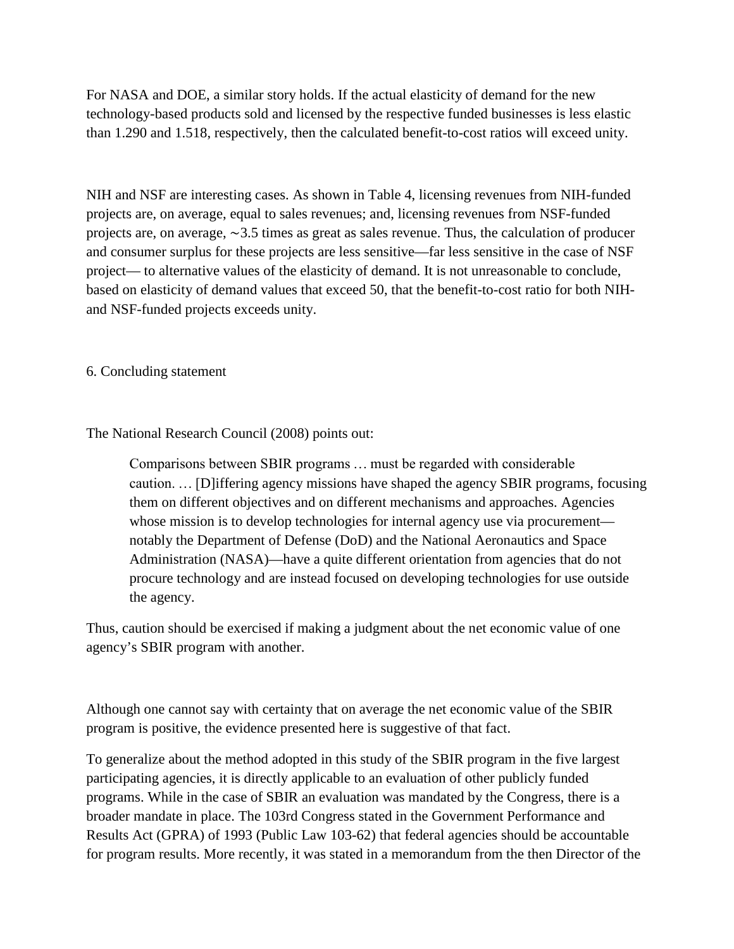For NASA and DOE, a similar story holds. If the actual elasticity of demand for the new technology-based products sold and licensed by the respective funded businesses is less elastic than 1.290 and 1.518, respectively, then the calculated benefit-to-cost ratios will exceed unity.

NIH and NSF are interesting cases. As shown in Table 4, licensing revenues from NIH-funded projects are, on average, equal to sales revenues; and, licensing revenues from NSF-funded projects are, on average, ∼3.5 times as great as sales revenue. Thus, the calculation of producer and consumer surplus for these projects are less sensitive—far less sensitive in the case of NSF project— to alternative values of the elasticity of demand. It is not unreasonable to conclude, based on elasticity of demand values that exceed 50, that the benefit-to-cost ratio for both NIHand NSF-funded projects exceeds unity.

6. Concluding statement

The National Research Council (2008) points out:

Comparisons between SBIR programs … must be regarded with considerable caution. … [D]iffering agency missions have shaped the agency SBIR programs, focusing them on different objectives and on different mechanisms and approaches. Agencies whose mission is to develop technologies for internal agency use via procurement notably the Department of Defense (DoD) and the National Aeronautics and Space Administration (NASA)—have a quite different orientation from agencies that do not procure technology and are instead focused on developing technologies for use outside the agency.

Thus, caution should be exercised if making a judgment about the net economic value of one agency's SBIR program with another.

Although one cannot say with certainty that on average the net economic value of the SBIR program is positive, the evidence presented here is suggestive of that fact.

To generalize about the method adopted in this study of the SBIR program in the five largest participating agencies, it is directly applicable to an evaluation of other publicly funded programs. While in the case of SBIR an evaluation was mandated by the Congress, there is a broader mandate in place. The 103rd Congress stated in the Government Performance and Results Act (GPRA) of 1993 (Public Law 103-62) that federal agencies should be accountable for program results. More recently, it was stated in a memorandum from the then Director of the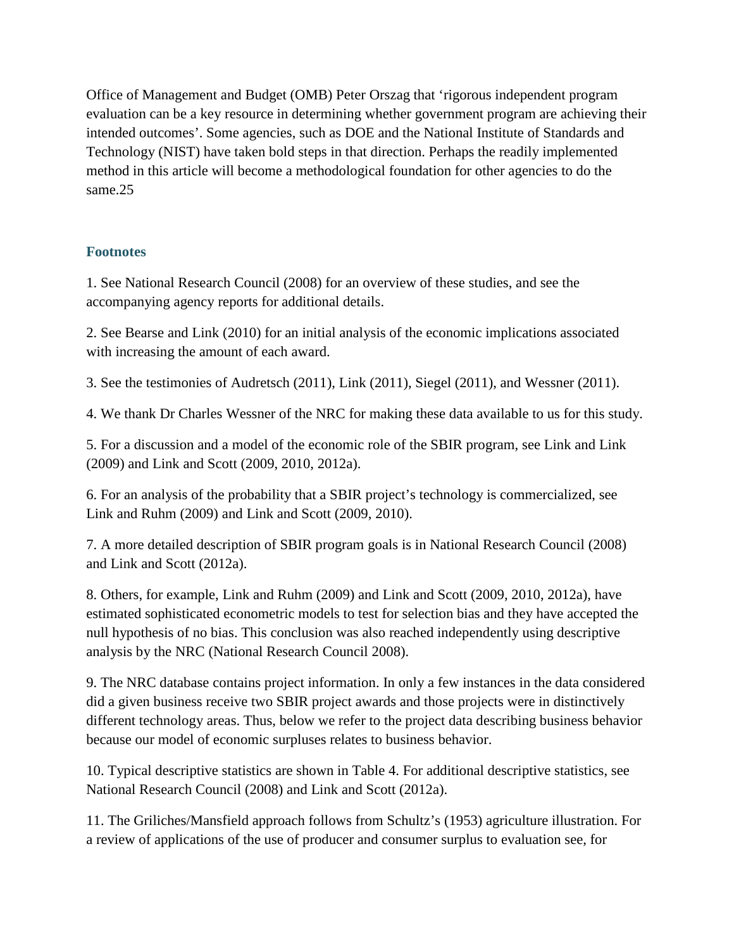Office of Management and Budget (OMB) Peter Orszag that 'rigorous independent program evaluation can be a key resource in determining whether government program are achieving their intended outcomes'. Some agencies, such as DOE and the National Institute of Standards and Technology (NIST) have taken bold steps in that direction. Perhaps the readily implemented method in this article will become a methodological foundation for other agencies to do the same.25

## **Footnotes**

1. See National Research Council (2008) for an overview of these studies, and see the accompanying agency reports for additional details.

2. See Bearse and Link (2010) for an initial analysis of the economic implications associated with increasing the amount of each award.

3. See the testimonies of Audretsch (2011), Link (2011), Siegel (2011), and Wessner (2011).

4. We thank Dr Charles Wessner of the NRC for making these data available to us for this study.

5. For a discussion and a model of the economic role of the SBIR program, see Link and Link (2009) and Link and Scott (2009, 2010, 2012a).

6. For an analysis of the probability that a SBIR project's technology is commercialized, see Link and Ruhm (2009) and Link and Scott (2009, 2010).

7. A more detailed description of SBIR program goals is in National Research Council (2008) and Link and Scott (2012a).

8. Others, for example, Link and Ruhm (2009) and Link and Scott (2009, 2010, 2012a), have estimated sophisticated econometric models to test for selection bias and they have accepted the null hypothesis of no bias. This conclusion was also reached independently using descriptive analysis by the NRC (National Research Council 2008).

9. The NRC database contains project information. In only a few instances in the data considered did a given business receive two SBIR project awards and those projects were in distinctively different technology areas. Thus, below we refer to the project data describing business behavior because our model of economic surpluses relates to business behavior.

10. Typical descriptive statistics are shown in Table 4. For additional descriptive statistics, see National Research Council (2008) and Link and Scott (2012a).

11. The Griliches/Mansfield approach follows from Schultz's (1953) agriculture illustration. For a review of applications of the use of producer and consumer surplus to evaluation see, for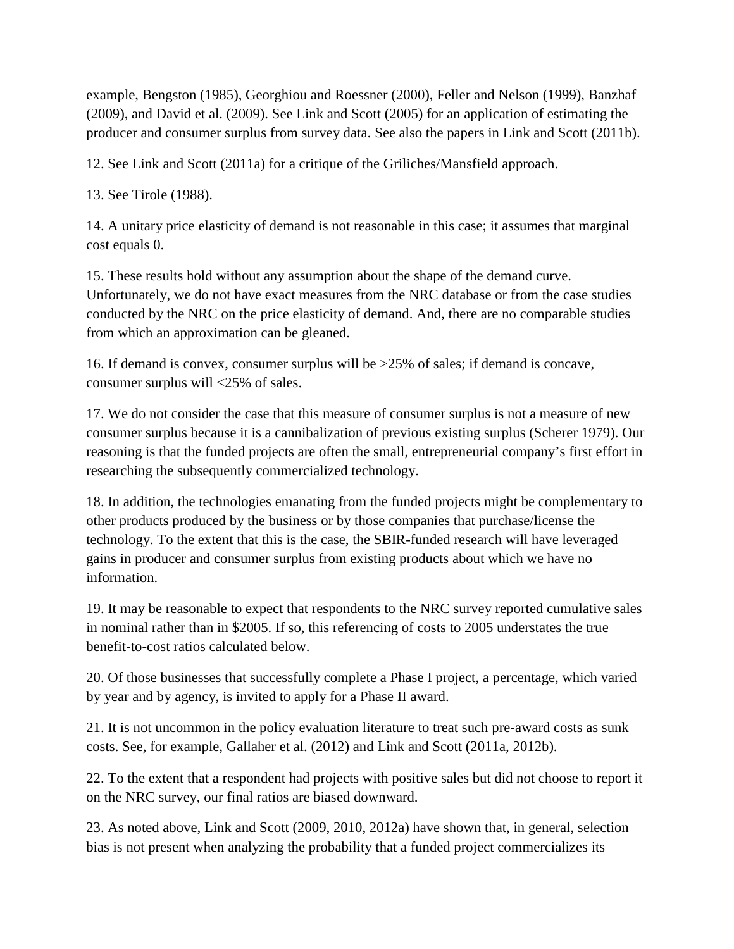example, Bengston (1985), Georghiou and Roessner (2000), Feller and Nelson (1999), Banzhaf (2009), and David et al. (2009). See Link and Scott (2005) for an application of estimating the producer and consumer surplus from survey data. See also the papers in Link and Scott (2011b).

12. See Link and Scott (2011a) for a critique of the Griliches/Mansfield approach.

13. See Tirole (1988).

14. A unitary price elasticity of demand is not reasonable in this case; it assumes that marginal cost equals 0.

15. These results hold without any assumption about the shape of the demand curve. Unfortunately, we do not have exact measures from the NRC database or from the case studies conducted by the NRC on the price elasticity of demand. And, there are no comparable studies from which an approximation can be gleaned.

16. If demand is convex, consumer surplus will be >25% of sales; if demand is concave, consumer surplus will <25% of sales.

17. We do not consider the case that this measure of consumer surplus is not a measure of new consumer surplus because it is a cannibalization of previous existing surplus (Scherer 1979). Our reasoning is that the funded projects are often the small, entrepreneurial company's first effort in researching the subsequently commercialized technology.

18. In addition, the technologies emanating from the funded projects might be complementary to other products produced by the business or by those companies that purchase/license the technology. To the extent that this is the case, the SBIR-funded research will have leveraged gains in producer and consumer surplus from existing products about which we have no information.

19. It may be reasonable to expect that respondents to the NRC survey reported cumulative sales in nominal rather than in \$2005. If so, this referencing of costs to 2005 understates the true benefit-to-cost ratios calculated below.

20. Of those businesses that successfully complete a Phase I project, a percentage, which varied by year and by agency, is invited to apply for a Phase II award.

21. It is not uncommon in the policy evaluation literature to treat such pre-award costs as sunk costs. See, for example, Gallaher et al. (2012) and Link and Scott (2011a, 2012b).

22. To the extent that a respondent had projects with positive sales but did not choose to report it on the NRC survey, our final ratios are biased downward.

23. As noted above, Link and Scott (2009, 2010, 2012a) have shown that, in general, selection bias is not present when analyzing the probability that a funded project commercializes its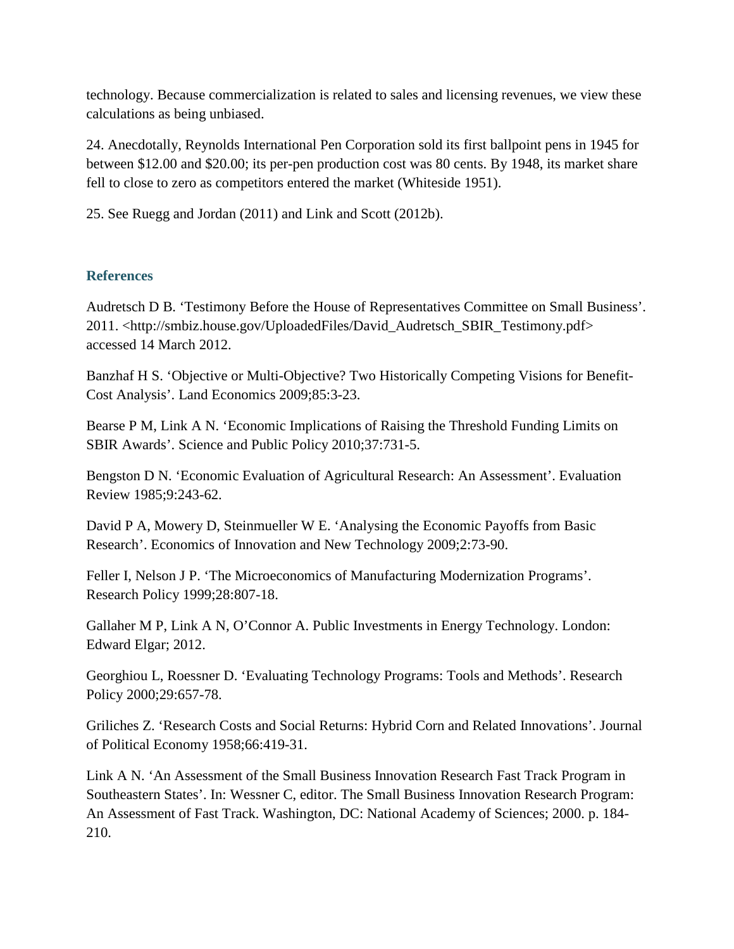technology. Because commercialization is related to sales and licensing revenues, we view these calculations as being unbiased.

24. Anecdotally, Reynolds International Pen Corporation sold its first ballpoint pens in 1945 for between \$12.00 and \$20.00; its per-pen production cost was 80 cents. By 1948, its market share fell to close to zero as competitors entered the market (Whiteside 1951).

25. See Ruegg and Jordan (2011) and Link and Scott (2012b).

## **References**

Audretsch D B. 'Testimony Before the House of Representatives Committee on Small Business'. 2011. <http://smbiz.house.gov/UploadedFiles/David\_Audretsch\_SBIR\_Testimony.pdf> accessed 14 March 2012.

Banzhaf H S. 'Objective or Multi-Objective? Two Historically Competing Visions for Benefit-Cost Analysis'. Land Economics 2009;85:3-23.

Bearse P M, Link A N. 'Economic Implications of Raising the Threshold Funding Limits on SBIR Awards'. Science and Public Policy 2010;37:731-5.

Bengston D N. 'Economic Evaluation of Agricultural Research: An Assessment'. Evaluation Review 1985;9:243-62.

David P A, Mowery D, Steinmueller W E. 'Analysing the Economic Payoffs from Basic Research'. Economics of Innovation and New Technology 2009;2:73-90.

Feller I, Nelson J P. 'The Microeconomics of Manufacturing Modernization Programs'. Research Policy 1999;28:807-18.

Gallaher M P, Link A N, O'Connor A. Public Investments in Energy Technology. London: Edward Elgar; 2012.

Georghiou L, Roessner D. 'Evaluating Technology Programs: Tools and Methods'. Research Policy 2000;29:657-78.

Griliches Z. 'Research Costs and Social Returns: Hybrid Corn and Related Innovations'. Journal of Political Economy 1958;66:419-31.

Link A N. 'An Assessment of the Small Business Innovation Research Fast Track Program in Southeastern States'. In: Wessner C, editor. The Small Business Innovation Research Program: An Assessment of Fast Track. Washington, DC: National Academy of Sciences; 2000. p. 184- 210.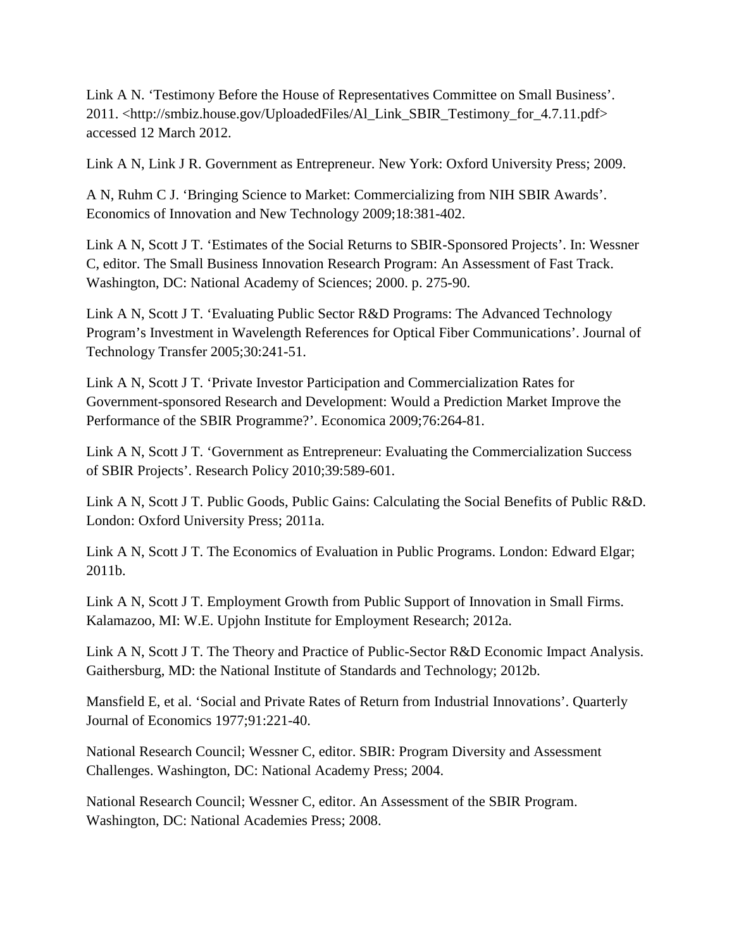Link A N. 'Testimony Before the House of Representatives Committee on Small Business'. 2011. <http://smbiz.house.gov/UploadedFiles/Al\_Link\_SBIR\_Testimony\_for\_4.7.11.pdf> accessed 12 March 2012.

Link A N, Link J R. Government as Entrepreneur. New York: Oxford University Press; 2009.

A N, Ruhm C J. 'Bringing Science to Market: Commercializing from NIH SBIR Awards'. Economics of Innovation and New Technology 2009;18:381-402.

Link A N, Scott J T. 'Estimates of the Social Returns to SBIR-Sponsored Projects'. In: Wessner C, editor. The Small Business Innovation Research Program: An Assessment of Fast Track. Washington, DC: National Academy of Sciences; 2000. p. 275-90.

Link A N, Scott J T. 'Evaluating Public Sector R&D Programs: The Advanced Technology Program's Investment in Wavelength References for Optical Fiber Communications'. Journal of Technology Transfer 2005;30:241-51.

Link A N, Scott J T. 'Private Investor Participation and Commercialization Rates for Government-sponsored Research and Development: Would a Prediction Market Improve the Performance of the SBIR Programme?'. Economica 2009;76:264-81.

Link A N, Scott J T. 'Government as Entrepreneur: Evaluating the Commercialization Success of SBIR Projects'. Research Policy 2010;39:589-601.

Link A N, Scott J T. Public Goods, Public Gains: Calculating the Social Benefits of Public R&D. London: Oxford University Press; 2011a.

Link A N, Scott J T. The Economics of Evaluation in Public Programs. London: Edward Elgar; 2011b.

Link A N, Scott J T. Employment Growth from Public Support of Innovation in Small Firms. Kalamazoo, MI: W.E. Upjohn Institute for Employment Research; 2012a.

Link A N, Scott J T. The Theory and Practice of Public-Sector R&D Economic Impact Analysis. Gaithersburg, MD: the National Institute of Standards and Technology; 2012b.

Mansfield E, et al. 'Social and Private Rates of Return from Industrial Innovations'. Quarterly Journal of Economics 1977;91:221-40.

National Research Council; Wessner C, editor. SBIR: Program Diversity and Assessment Challenges. Washington, DC: National Academy Press; 2004.

National Research Council; Wessner C, editor. An Assessment of the SBIR Program. Washington, DC: National Academies Press; 2008.